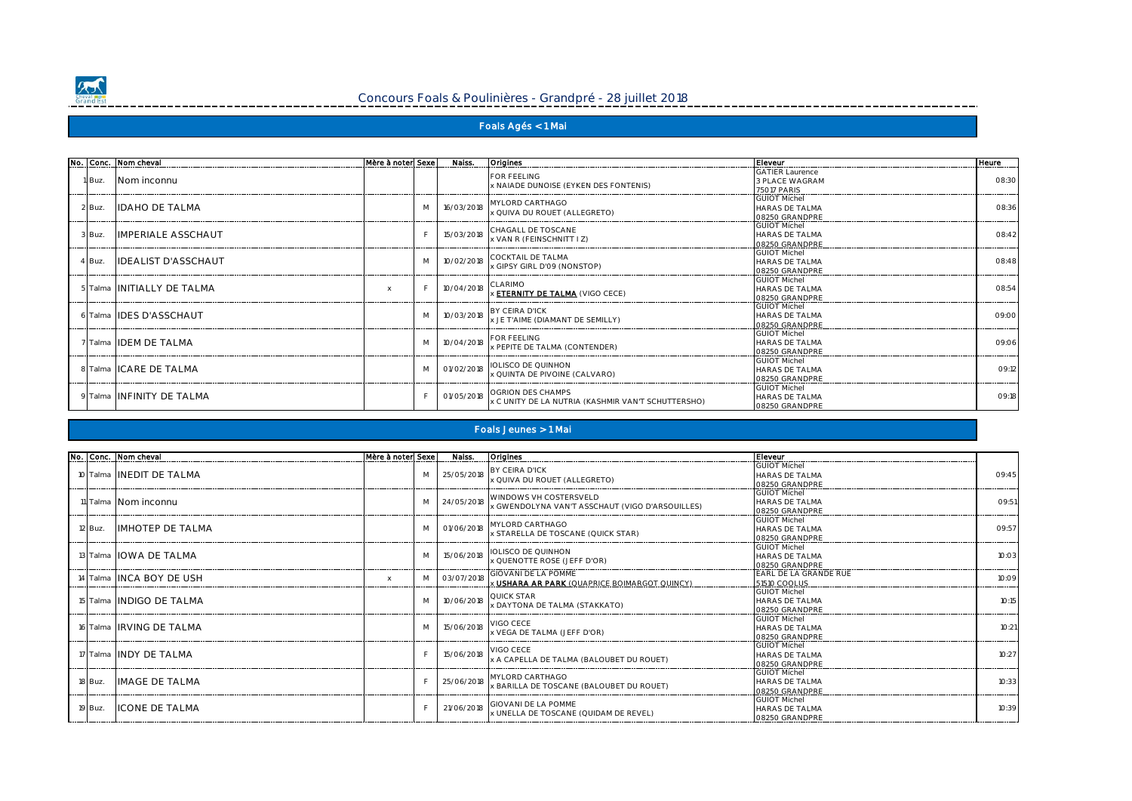

## Concours Foals & Poulinières - Grandpré - 28 juillet 2018

## **Foals Agés < 1 Mai**

|        | No. Conc. Nom cheval       | Mère à noter Sexe l |   | Naiss.     | <b>Origines</b>                                                         | Eleveur                                                         | <b>Heure</b> |
|--------|----------------------------|---------------------|---|------------|-------------------------------------------------------------------------|-----------------------------------------------------------------|--------------|
| 1 Buz. | Nom inconnu                |                     |   |            | FOR FFFI ING<br>x NAIADE DUNOISE (EYKEN DES FONTENIS)                   | GATIFR Laurence<br>3 PLACE WAGRAM<br>75017 PARIS                | 08:30        |
| 2 Buz. | <b>IDAHO DE TALMA</b>      |                     | M | 16/03/2018 | MYLORD CARTHAGO<br>x QUIVA DU ROUET (ALLEGRETO)                         | <b>GUIOT Michel</b><br><b>HARAS DF TAI MA</b><br>08250 GRANDPRE | 08:36        |
| 3 Buz. | <b>IMPERIALE ASSCHAUT</b>  |                     |   |            | 15/03/2018 CHAGALL DE TOSCANE<br>x VAN R (FEINSCHNITT I Z)              | <b>GUIOT Michel</b><br><b>HARAS DF TAI MA</b><br>08250 GRANDPRE | 08:42        |
| 4 Buz. | <b>IDEALIST D'ASSCHAUT</b> |                     | M |            | 10/02/2018 COCKTAIL DE TALMA<br>x GIPSY GIRL D'09 (NONSTOP)             | <b>GUIOT Michel</b><br>HARAS DE TAI MA<br>08250 GRANDPRE        | 08:48        |
|        | 5 Talma INITIALLY DE TALMA | $\times$            |   | 10/04/2018 | CI ARIMO<br><b>X ETERNITY DE TALMA (VIGO CECE)</b>                      | <b>GUIOT Michel</b><br><b>HARAS DE TALMA</b><br>08250 GRANDPRE  | 08:54        |
|        | 6 Talma IDES D'ASSCHAUT    |                     | M |            | 10/03/2018 BY CEIRA D'ICK<br>x JE T'AIME (DIAMANT DE SEMILLY)           | <b>GUIOT Michel</b><br><b>HARAS DF TAI MA</b><br>08250 GRANDPRE | 09:00        |
|        | 7 Talma IDEM DE TALMA      |                     | M |            | 10/04/2018 FOR FEELING<br>x PEPITE DE TALMA (CONTENDER)                 | <b>GUIOT Michel</b><br><b>HARAS DE TALMA</b><br>08250 GRANDPRE  | 09:06        |
|        | 8 Talma ICARE DE TALMA     |                     | M | 01/02/2018 | <b>IOLISCO DE OUINHON</b><br>x QUINTA DE PIVOINE (CALVARO)              | <b>GUIOT Michel</b><br>HARAS DE TALMA<br>08250 GRANDPRE         | 09:12        |
|        | 9 Talma INFINITY DE TALMA  |                     |   | 01/05/2018 | OGRION DES CHAMPS<br>x C UNITY DE LA NUTRIA (KASHMIR VAN'T SCHUTTERSHO) | <b>GUIOT Michel</b><br>HARAS DE TALMA<br>08250 GRANDPRE         | 09:18        |

#### **Foals Jeunes > 1 Mai**

|         | No. Conc. Nom cheval     | Mère à noterl Sexe |   | Naiss.               | <b>Origines</b>                                                                        | Eleveur                                                         |       |
|---------|--------------------------|--------------------|---|----------------------|----------------------------------------------------------------------------------------|-----------------------------------------------------------------|-------|
|         | 10 Talma INEDIT DE TALMA |                    |   |                      | M 25/05/2018 BY CEIRA D'ICK<br>x QUIVA DU ROUET (ALLEGRETO)                            | <b>GUIOT Michel</b><br>HARAS DF TAI MA<br>08250 GRANDPRE        | 09:45 |
|         | 11 Talma Nom inconnu     |                    |   |                      | M 24/05/2018 WINDOWS VH COSTERSVELD<br>x GWENDOLYNA VAN'T ASSCHAUT (VIGO D'ARSOUILLES) | <b>GUIOT Michel</b><br><b>HARAS DE TALMA</b><br>08250 GRANDPRE  | 09:51 |
| 12 Buz. | <b>IMHOTEP DE TAI MA</b> |                    | M |                      | 01/06/2018 MYLORD CARTHAGO<br>x STARELLA DE TOSCANE (QUICK STAR)                       | <b>GUIOT Michel</b><br><b>HARAS DF TAI MA</b><br>08250 GRANDPRE | 09:57 |
|         | 13 Talma IOWA DE TALMA   |                    | M |                      | 15/06/2018 <b>IOLISCO DE QUINHON</b><br><b>x QUENOTTE ROSE (JEFF D'OR)</b>             | <b>GUIOT Michel</b><br>HARAS DE TAI MA<br>08250 GRANDPRE        | 10:03 |
|         | 14 Talma INCA BOY DE USH | $\times$           | M | 03/07/2018           | <b>GIOVANI DE LA POMME</b><br><b>X USHARA AR PARK (QUAPRICE BOIMARGOT QUINCY)</b>      | EARL DE LA GRANDE RUE<br>51510 COOLUS                           | 10:09 |
|         | 15 Talma INDIGO DE TALMA |                    | M |                      | 10/06/2018 QUICK STAR<br>x DAYTONA DE TALMA (STAKKATO)                                 | <b>GUIOT Michel</b><br><b>HARAS DE TALMA</b><br>08250 GRANDPRE  | 10:15 |
|         | 16 Talma IRVING DE TALMA |                    | M | 15/06/2018 VIGO CECE | <b>x VEGA DE TALMA (JEFF D'OR)</b>                                                     | <b>GUIOT Michel</b><br>HARAS DE TAI MA<br>08250 GRANDPRE        | 10:21 |
|         | 17 Talma INDY DE TALMA   |                    |   | 15/06/2018 VIGO CECE | <b>x A CAPELLA DE TALMA (BALOUBET DU ROUET</b>                                         | <b>GUIOT Michel</b><br><b>HARAS DE TALMA</b><br>08250 GRANDPRE  | 10:27 |
| 18 Buz. | <b>IMAGE DE TALMA</b>    |                    |   | 25/06/2018           | MYLORD CARTHAGO<br>x BARILLA DE TOSCANE (BALOUBET DU ROUET)                            | <b>GUIOT Michel</b><br><b>HARAS DE TALMA</b><br>08250 GRANDPRE  | 10:33 |
| 19 Buz. | <b>ICONE DE TALMA</b>    |                    |   |                      | 21/06/2018 GIOVANI DE LA POMME<br>x UNELLA DE TOSCANE (QUIDAM DE REVEL)                | <b>GUIOT Michel</b><br>HARAS DE TAI MA<br>08250 GRANDPRE        | 10:39 |